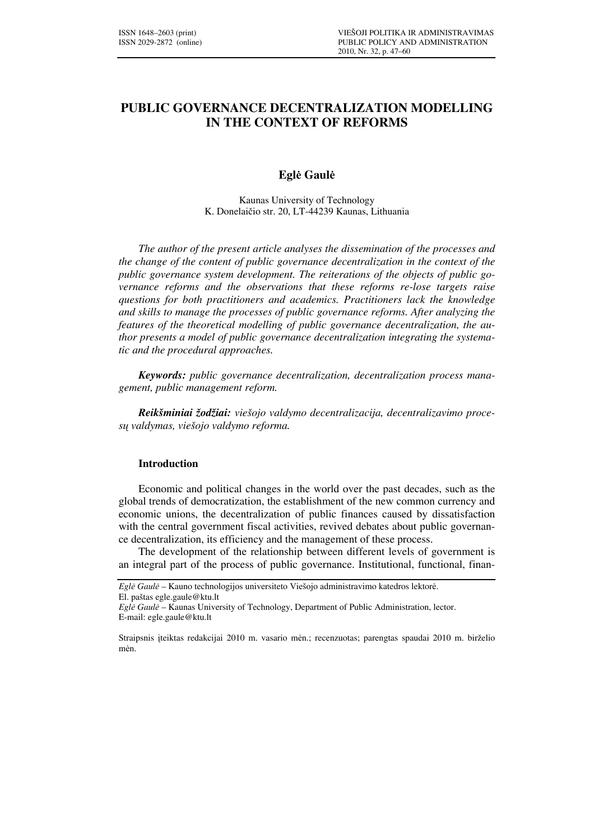# **PUBLIC GOVERNANCE DECENTRALIZATION MODELLING IN THE CONTEXT OF REFORMS**

## **Egl**ė **Gaul**ė

Kaunas University of Technology K. Donelaičio str. 20, LT-44239 Kaunas, Lithuania

*The author of the present article analyses the dissemination of the processes and the change of the content of public governance decentralization in the context of the public governance system development. The reiterations of the objects of public governance reforms and the observations that these reforms re-lose targets raise questions for both practitioners and academics. Practitioners lack the knowledge and skills to manage the processes of public governance reforms. After analyzing the features of the theoretical modelling of public governance decentralization, the author presents a model of public governance decentralization integrating the systematic and the procedural approaches.* 

*Keywords: public governance decentralization, decentralization process management, public management reform.* 

*Reikšminiai žodžiai: viešojo valdymo decentralizacija, decentralizavimo proces*ų *valdymas, viešojo valdymo reforma.* 

### **Introduction**

Economic and political changes in the world over the past decades, such as the global trends of democratization, the establishment of the new common currency and economic unions, the decentralization of public finances caused by dissatisfaction with the central government fiscal activities, revived debates about public governance decentralization, its efficiency and the management of these process.

The development of the relationship between different levels of government is an integral part of the process of public governance. Institutional, functional, finan-

*Egl*ė *Gaul*ė – Kauno technologijos universiteto Viešojo administravimo katedros lektorė.

El. paštas egle.gaule@ktu.lt

*Egl*ė *Gaul*ė – Kaunas University of Technology, Department of Public Administration, lector. E-mail: egle.gaule@ktu.lt

Straipsnis įteiktas redakcijai 2010 m. vasario mėn.; recenzuotas; parengtas spaudai 2010 m. birželio mėn.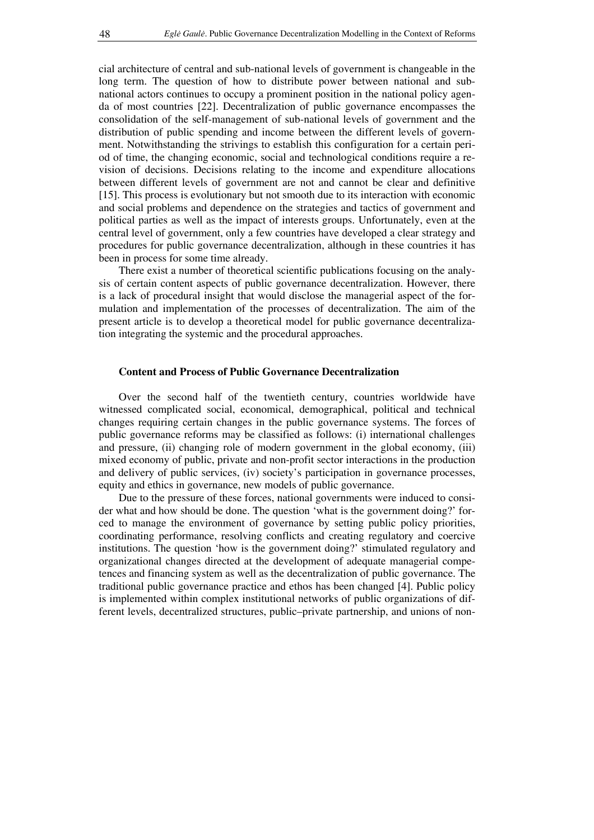cial architecture of central and sub-national levels of government is changeable in the long term. The question of how to distribute power between national and subnational actors continues to occupy a prominent position in the national policy agenda of most countries [22]. Decentralization of public governance encompasses the consolidation of the self-management of sub-national levels of government and the distribution of public spending and income between the different levels of government. Notwithstanding the strivings to establish this configuration for a certain period of time, the changing economic, social and technological conditions require a revision of decisions. Decisions relating to the income and expenditure allocations between different levels of government are not and cannot be clear and definitive [15]. This process is evolutionary but not smooth due to its interaction with economic and social problems and dependence on the strategies and tactics of government and political parties as well as the impact of interests groups. Unfortunately, even at the central level of government, only a few countries have developed a clear strategy and procedures for public governance decentralization, although in these countries it has been in process for some time already.

There exist a number of theoretical scientific publications focusing on the analysis of certain content aspects of public governance decentralization. However, there is a lack of procedural insight that would disclose the managerial aspect of the formulation and implementation of the processes of decentralization. The aim of the present article is to develop a theoretical model for public governance decentralization integrating the systemic and the procedural approaches.

### **Content and Process of Public Governance Decentralization**

Over the second half of the twentieth century, countries worldwide have witnessed complicated social, economical, demographical, political and technical changes requiring certain changes in the public governance systems. The forces of public governance reforms may be classified as follows: (i) international challenges and pressure, (ii) changing role of modern government in the global economy, (iii) mixed economy of public, private and non-profit sector interactions in the production and delivery of public services, (iv) society's participation in governance processes, equity and ethics in governance, new models of public governance.

Due to the pressure of these forces, national governments were induced to consider what and how should be done. The question 'what is the government doing?' forced to manage the environment of governance by setting public policy priorities, coordinating performance, resolving conflicts and creating regulatory and coercive institutions. The question 'how is the government doing?' stimulated regulatory and organizational changes directed at the development of adequate managerial competences and financing system as well as the decentralization of public governance. The traditional public governance practice and ethos has been changed [4]. Public policy is implemented within complex institutional networks of public organizations of different levels, decentralized structures, public–private partnership, and unions of non-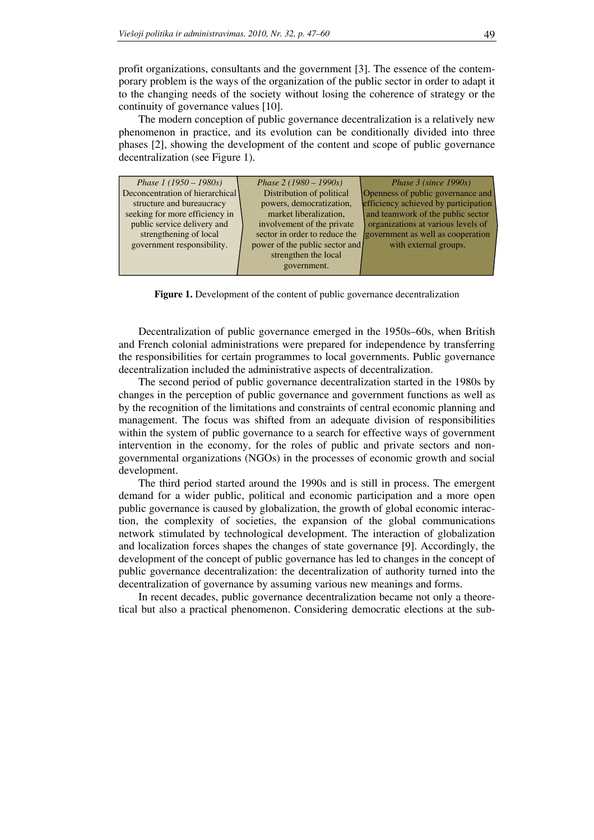profit organizations, consultants and the government [3]. The essence of the contemporary problem is the ways of the organization of the public sector in order to adapt it to the changing needs of the society without losing the coherence of strategy or the continuity of governance values [10].

The modern conception of public governance decentralization is a relatively new phenomenon in practice, and its evolution can be conditionally divided into three phases [2], showing the development of the content and scope of public governance decentralization (see Figure 1).

| Phase $1(1950 - 1980s)$<br>Deconcentration of hierarchical<br>structure and bureaucracy<br>seeking for more efficiency in<br>public service delivery and<br>strengthening of local<br>government responsibility. | Phase $2(1980 - 1990s)$<br>Distribution of political<br>powers, democratization,<br>market liberalization,<br>involvement of the private<br>sector in order to reduce the<br>power of the public sector and<br>strengthen the local<br>government. | Phase $3$ (since 1990s)<br>Openness of public governance and<br>efficiency achieved by participation<br>and teamwork of the public sector<br>organizations at various levels of<br>government as well as cooperation<br>with external groups. |
|------------------------------------------------------------------------------------------------------------------------------------------------------------------------------------------------------------------|----------------------------------------------------------------------------------------------------------------------------------------------------------------------------------------------------------------------------------------------------|-----------------------------------------------------------------------------------------------------------------------------------------------------------------------------------------------------------------------------------------------|
|------------------------------------------------------------------------------------------------------------------------------------------------------------------------------------------------------------------|----------------------------------------------------------------------------------------------------------------------------------------------------------------------------------------------------------------------------------------------------|-----------------------------------------------------------------------------------------------------------------------------------------------------------------------------------------------------------------------------------------------|

Figure 1. Development of the content of public governance decentralization

Decentralization of public governance emerged in the 1950s–60s, when British and French colonial administrations were prepared for independence by transferring the responsibilities for certain programmes to local governments. Public governance decentralization included the administrative aspects of decentralization.

The second period of public governance decentralization started in the 1980s by changes in the perception of public governance and government functions as well as by the recognition of the limitations and constraints of central economic planning and management. The focus was shifted from an adequate division of responsibilities within the system of public governance to a search for effective ways of government intervention in the economy, for the roles of public and private sectors and nongovernmental organizations (NGOs) in the processes of economic growth and social development.

The third period started around the 1990s and is still in process. The emergent demand for a wider public, political and economic participation and a more open public governance is caused by globalization, the growth of global economic interaction, the complexity of societies, the expansion of the global communications network stimulated by technological development. The interaction of globalization and localization forces shapes the changes of state governance [9]. Accordingly, the development of the concept of public governance has led to changes in the concept of public governance decentralization: the decentralization of authority turned into the decentralization of governance by assuming various new meanings and forms.

In recent decades, public governance decentralization became not only a theoretical but also a practical phenomenon. Considering democratic elections at the sub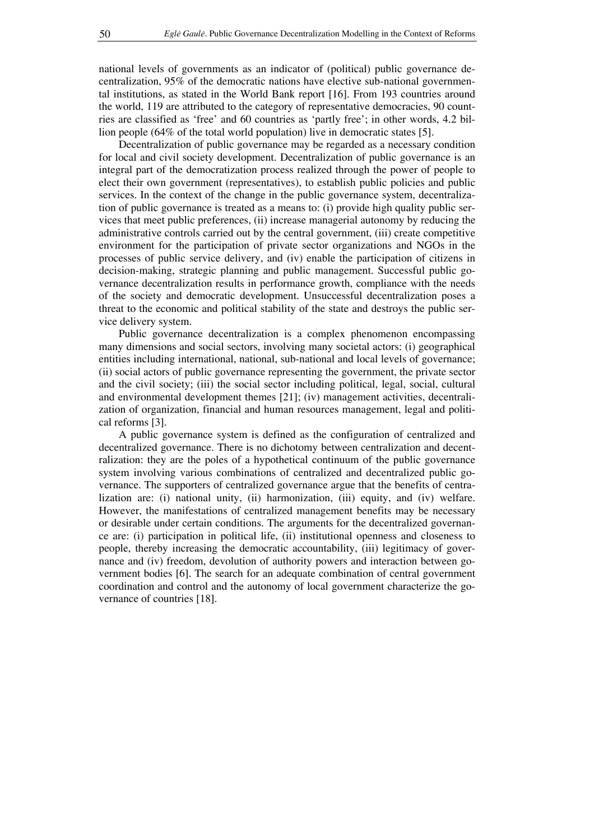national levels of governments as an indicator of (political) public governance decentralization, 95% of the democratic nations have elective sub-national governmental institutions, as stated in the World Bank report [16]. From 193 countries around the world, 119 are attributed to the category of representative democracies, 90 countries are classified as 'free' and 60 countries as 'partly free'; in other words, 4.2 billion people (64% of the total world population) live in democratic states [5].

Decentralization of public governance may be regarded as a necessary condition for local and civil society development. Decentralization of public governance is an integral part of the democratization process realized through the power of people to elect their own government (representatives), to establish public policies and public services. In the context of the change in the public governance system, decentralization of public governance is treated as a means to: (i) provide high quality public services that meet public preferences, (ii) increase managerial autonomy by reducing the administrative controls carried out by the central government, (iii) create competitive environment for the participation of private sector organizations and NGOs in the processes of public service delivery, and (iv) enable the participation of citizens in decision-making, strategic planning and public management. Successful public governance decentralization results in performance growth, compliance with the needs of the society and democratic development. Unsuccessful decentralization poses a threat to the economic and political stability of the state and destroys the public service delivery system.

Public governance decentralization is a complex phenomenon encompassing many dimensions and social sectors, involving many societal actors: (i) geographical entities including international, national, sub-national and local levels of governance; (ii) social actors of public governance representing the government, the private sector and the civil society; (iii) the social sector including political, legal, social, cultural and environmental development themes [21]; (iv) management activities, decentralization of organization, financial and human resources management, legal and political reforms [3].

A public governance system is defined as the configuration of centralized and decentralized governance. There is no dichotomy between centralization and decentralization: they are the poles of a hypothetical continuum of the public governance system involving various combinations of centralized and decentralized public governance. The supporters of centralized governance argue that the benefits of centralization are: (i) national unity, (ii) harmonization, (iii) equity, and (iv) welfare. However, the manifestations of centralized management benefits may be necessary or desirable under certain conditions. The arguments for the decentralized governance are: (i) participation in political life, (ii) institutional openness and closeness to people, thereby increasing the democratic accountability, (iii) legitimacy of governance and (iv) freedom, devolution of authority powers and interaction between government bodies [6]. The search for an adequate combination of central government coordination and control and the autonomy of local government characterize the governance of countries [18].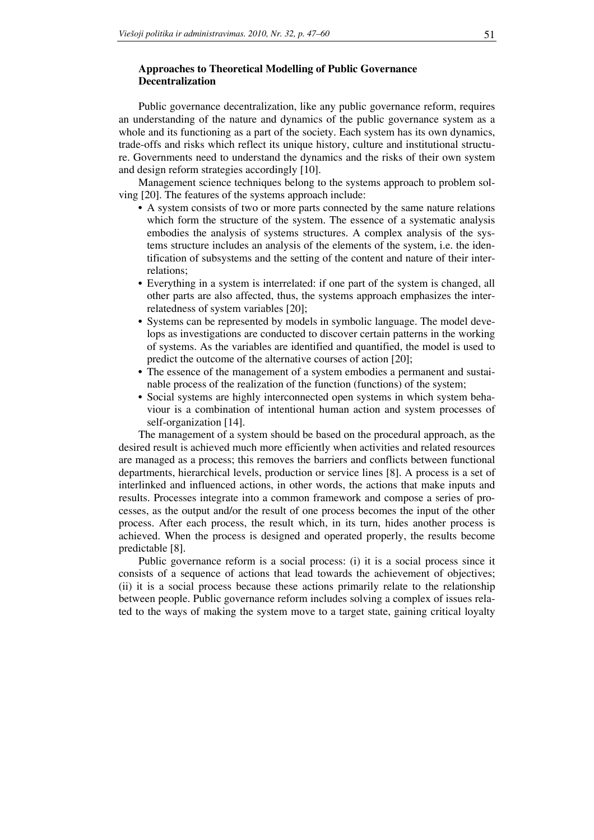## **Approaches to Theoretical Modelling of Public Governance Decentralization**

Public governance decentralization, like any public governance reform, requires an understanding of the nature and dynamics of the public governance system as a whole and its functioning as a part of the society. Each system has its own dynamics, trade-offs and risks which reflect its unique history, culture and institutional structure. Governments need to understand the dynamics and the risks of their own system and design reform strategies accordingly [10].

Management science techniques belong to the systems approach to problem solving [20]. The features of the systems approach include:

- A system consists of two or more parts connected by the same nature relations which form the structure of the system. The essence of a systematic analysis embodies the analysis of systems structures. A complex analysis of the systems structure includes an analysis of the elements of the system, i.e. the identification of subsystems and the setting of the content and nature of their interrelations;
- Everything in a system is interrelated: if one part of the system is changed, all other parts are also affected, thus, the systems approach emphasizes the interrelatedness of system variables [20];
- Systems can be represented by models in symbolic language. The model develops as investigations are conducted to discover certain patterns in the working of systems. As the variables are identified and quantified, the model is used to predict the outcome of the alternative courses of action [20];
- The essence of the management of a system embodies a permanent and sustainable process of the realization of the function (functions) of the system;
- Social systems are highly interconnected open systems in which system behaviour is a combination of intentional human action and system processes of self-organization [14].

The management of a system should be based on the procedural approach, as the desired result is achieved much more efficiently when activities and related resources are managed as a process; this removes the barriers and conflicts between functional departments, hierarchical levels, production or service lines [8]. A process is a set of interlinked and influenced actions, in other words, the actions that make inputs and results. Processes integrate into a common framework and compose a series of processes, as the output and/or the result of one process becomes the input of the other process. After each process, the result which, in its turn, hides another process is achieved. When the process is designed and operated properly, the results become predictable [8].

Public governance reform is a social process: (i) it is a social process since it consists of a sequence of actions that lead towards the achievement of objectives; (ii) it is a social process because these actions primarily relate to the relationship between people. Public governance reform includes solving a complex of issues related to the ways of making the system move to a target state, gaining critical loyalty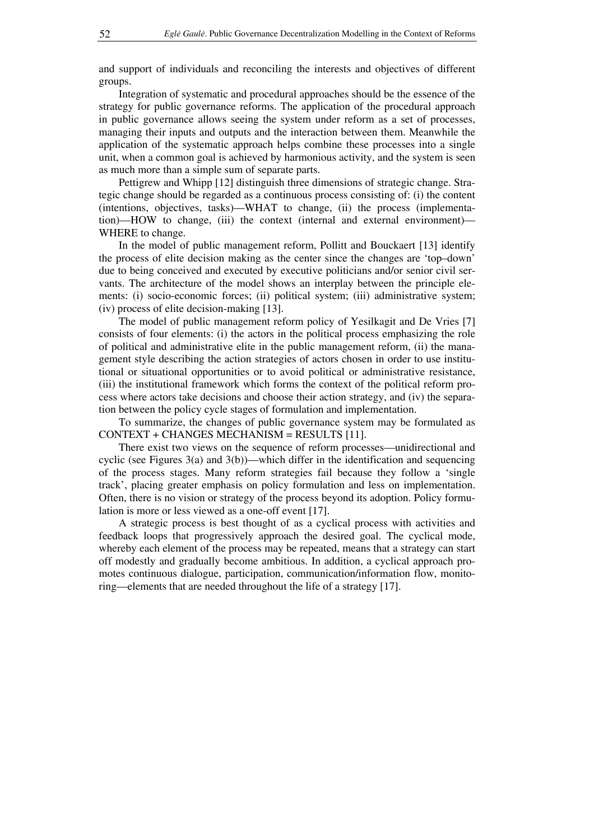and support of individuals and reconciling the interests and objectives of different groups.

Integration of systematic and procedural approaches should be the essence of the strategy for public governance reforms. The application of the procedural approach in public governance allows seeing the system under reform as a set of processes, managing their inputs and outputs and the interaction between them. Meanwhile the application of the systematic approach helps combine these processes into a single unit, when a common goal is achieved by harmonious activity, and the system is seen as much more than a simple sum of separate parts.

Pettigrew and Whipp [12] distinguish three dimensions of strategic change. Strategic change should be regarded as a continuous process consisting of: (i) the content (intentions, objectives, tasks)—WHAT to change, (ii) the process (implementation)—HOW to change, (iii) the context (internal and external environment)— WHERE to change.

In the model of public management reform, Pollitt and Bouckaert [13] identify the process of elite decision making as the center since the changes are 'top–down' due to being conceived and executed by executive politicians and/or senior civil servants. The architecture of the model shows an interplay between the principle elements: (i) socio-economic forces; (ii) political system; (iii) administrative system; (iv) process of elite decision-making [13].

The model of public management reform policy of Yesilkagit and De Vries [7] consists of four elements: (i) the actors in the political process emphasizing the role of political and administrative elite in the public management reform, (ii) the management style describing the action strategies of actors chosen in order to use institutional or situational opportunities or to avoid political or administrative resistance, (iii) the institutional framework which forms the context of the political reform process where actors take decisions and choose their action strategy, and (iv) the separation between the policy cycle stages of formulation and implementation.

To summarize, the changes of public governance system may be formulated as CONTEXT + CHANGES MECHANISM = RESULTS [11].

There exist two views on the sequence of reform processes—unidirectional and cyclic (see Figures 3(a) and 3(b))—which differ in the identification and sequencing of the process stages. Many reform strategies fail because they follow a 'single track', placing greater emphasis on policy formulation and less on implementation. Often, there is no vision or strategy of the process beyond its adoption. Policy formulation is more or less viewed as a one-off event [17].

A strategic process is best thought of as a cyclical process with activities and feedback loops that progressively approach the desired goal. The cyclical mode, whereby each element of the process may be repeated, means that a strategy can start off modestly and gradually become ambitious. In addition, a cyclical approach promotes continuous dialogue, participation, communication/information flow, monitoring—elements that are needed throughout the life of a strategy [17].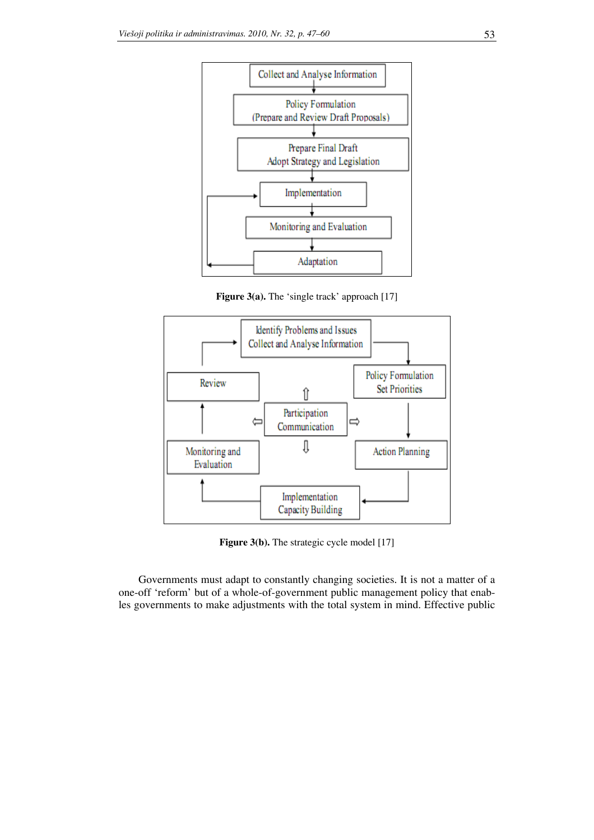

**Figure 3(a).** The 'single track' approach [17]



**Figure 3(b).** The strategic cycle model [17]

Governments must adapt to constantly changing societies. It is not a matter of a one-off 'reform' but of a whole-of-government public management policy that enables governments to make adjustments with the total system in mind. Effective public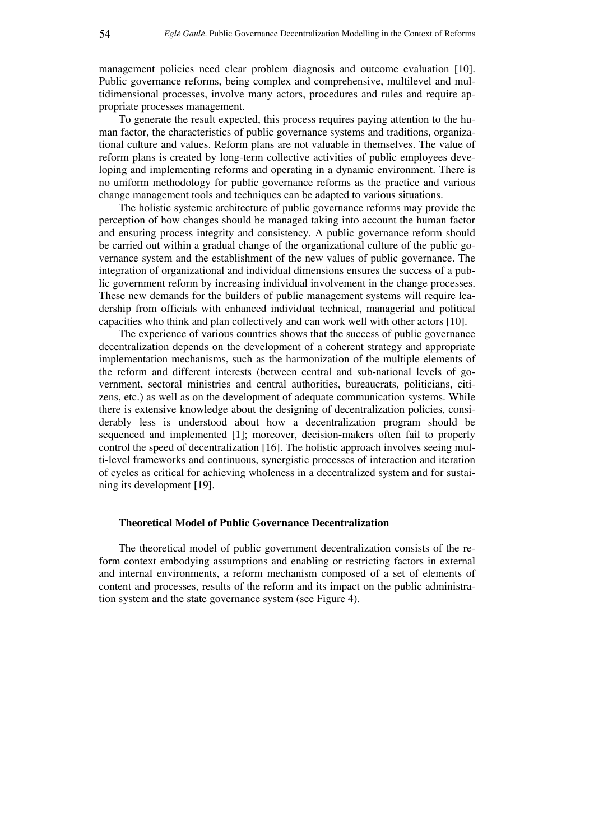management policies need clear problem diagnosis and outcome evaluation [10]. Public governance reforms, being complex and comprehensive, multilevel and multidimensional processes, involve many actors, procedures and rules and require appropriate processes management.

To generate the result expected, this process requires paying attention to the human factor, the characteristics of public governance systems and traditions, organizational culture and values. Reform plans are not valuable in themselves. The value of reform plans is created by long-term collective activities of public employees developing and implementing reforms and operating in a dynamic environment. There is no uniform methodology for public governance reforms as the practice and various change management tools and techniques can be adapted to various situations.

The holistic systemic architecture of public governance reforms may provide the perception of how changes should be managed taking into account the human factor and ensuring process integrity and consistency. A public governance reform should be carried out within a gradual change of the organizational culture of the public governance system and the establishment of the new values of public governance. The integration of organizational and individual dimensions ensures the success of a public government reform by increasing individual involvement in the change processes. These new demands for the builders of public management systems will require leadership from officials with enhanced individual technical, managerial and political capacities who think and plan collectively and can work well with other actors [10].

The experience of various countries shows that the success of public governance decentralization depends on the development of a coherent strategy and appropriate implementation mechanisms, such as the harmonization of the multiple elements of the reform and different interests (between central and sub-national levels of government, sectoral ministries and central authorities, bureaucrats, politicians, citizens, etc.) as well as on the development of adequate communication systems. While there is extensive knowledge about the designing of decentralization policies, considerably less is understood about how a decentralization program should be sequenced and implemented [1]; moreover, decision-makers often fail to properly control the speed of decentralization [16]. The holistic approach involves seeing multi-level frameworks and continuous, synergistic processes of interaction and iteration of cycles as critical for achieving wholeness in a decentralized system and for sustaining its development [19].

#### **Theoretical Model of Public Governance Decentralization**

The theoretical model of public government decentralization consists of the reform context embodying assumptions and enabling or restricting factors in external and internal environments, a reform mechanism composed of a set of elements of content and processes, results of the reform and its impact on the public administration system and the state governance system (see Figure 4).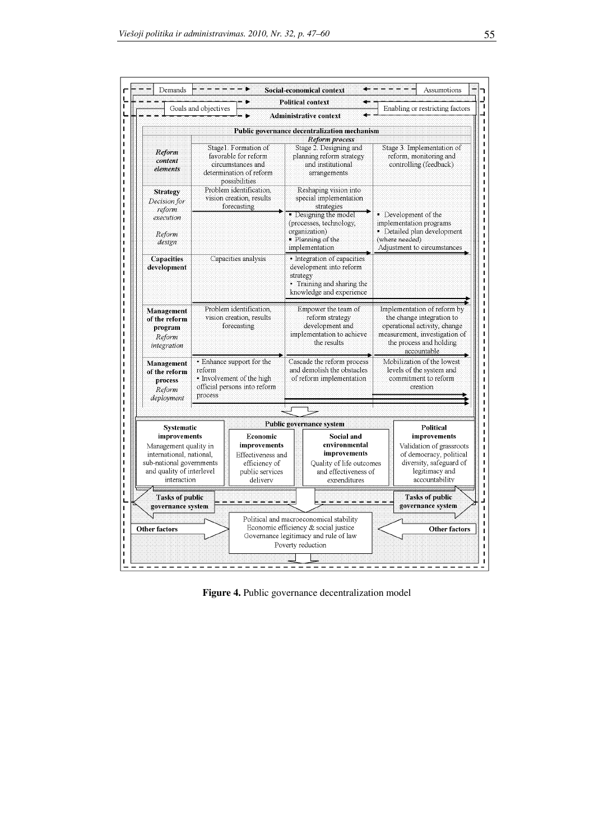|                                                                                                                                           |                                                                    |                                                                                                                                                     |                                                                                                                 | <b>Administrative context</b>                                                                                                                                             |                                                                                                                                                                     |                                                                                                                                    |  |
|-------------------------------------------------------------------------------------------------------------------------------------------|--------------------------------------------------------------------|-----------------------------------------------------------------------------------------------------------------------------------------------------|-----------------------------------------------------------------------------------------------------------------|---------------------------------------------------------------------------------------------------------------------------------------------------------------------------|---------------------------------------------------------------------------------------------------------------------------------------------------------------------|------------------------------------------------------------------------------------------------------------------------------------|--|
|                                                                                                                                           |                                                                    |                                                                                                                                                     |                                                                                                                 | Public governance decentralization mechanism<br>Reform process                                                                                                            |                                                                                                                                                                     |                                                                                                                                    |  |
| Reform<br>content<br>elements                                                                                                             |                                                                    | Stage1. Formation of<br>favorable for reform<br>circumstances and<br>determination of reform<br>possibilities                                       |                                                                                                                 | Stage 2. Designing and<br>planning reform strategy<br>and institutional<br>arrangements                                                                                   |                                                                                                                                                                     | Stage 3. Implementation of<br>reform, monitoring and<br>controlling (feedback)                                                     |  |
| <b>Strategy</b><br>Decision for<br>reform<br>execution<br>Reform<br>design                                                                |                                                                    | Problem identification.<br>vision creation, results<br>forecasting                                                                                  |                                                                                                                 | Reshaping vision into<br>special implementation<br>strategies<br>· Designing the model<br>(processes, technology,<br>organization)<br>· Planning of the<br>implementation | ■ Development of the<br>implementation programs<br>· Detailed plan development<br>(where needed)<br>Adjustment to circumstances                                     |                                                                                                                                    |  |
| <b>Capacities</b><br>development                                                                                                          |                                                                    | • Integration of capacities<br>Capacities analysis<br>development into reform<br>strategy<br>• Training and sharing the<br>knowledge and experience |                                                                                                                 |                                                                                                                                                                           |                                                                                                                                                                     |                                                                                                                                    |  |
| Management<br>of the reform<br>program<br>Reform<br>integration                                                                           | Problem identification.<br>vision creation, results<br>forecasting |                                                                                                                                                     | Empower the team of<br>reform strategy<br>development and<br>implementation to achieve<br>the results           |                                                                                                                                                                           | Implementation of reform by<br>the change integration to<br>operational activity, change<br>measurement, investigation of<br>the process and holding<br>accountable |                                                                                                                                    |  |
| Management<br>of the reform<br>process<br>Reform<br>deployment                                                                            | reform<br>process                                                  | • Enhance support for the<br>• Involvement of the high<br>official persons into reform                                                              |                                                                                                                 | Cascade the reform process<br>and demolish the obstacles<br>of reform implementation                                                                                      |                                                                                                                                                                     | Mobilization of the lowest<br>levels of the system and<br>commitment to reform<br>creation                                         |  |
|                                                                                                                                           |                                                                    |                                                                                                                                                     |                                                                                                                 |                                                                                                                                                                           |                                                                                                                                                                     |                                                                                                                                    |  |
| <b>Systematic</b>                                                                                                                         |                                                                    |                                                                                                                                                     |                                                                                                                 | <b>Public governance system</b>                                                                                                                                           |                                                                                                                                                                     | Political                                                                                                                          |  |
| improvements<br>Management quality in<br>international, national,<br>sub-national governments<br>and quality of interlevel<br>interaction |                                                                    | Economic<br>improvements<br>Effectiveness and<br>efficiency of<br>public services<br>delivery                                                       | Social and<br>environmental<br>improvements<br>Quality of life outcomes<br>and effectiveness of<br>expenditures |                                                                                                                                                                           |                                                                                                                                                                     | improvements<br>Validation of grassroots<br>of democracy, political<br>diversity, safeguard of<br>legitimacy and<br>accountability |  |
| <b>Tasks of public</b><br>governance system<br><b>Other factors</b>                                                                       |                                                                    |                                                                                                                                                     |                                                                                                                 |                                                                                                                                                                           |                                                                                                                                                                     | <b>Tasks of public</b><br>governance system                                                                                        |  |
|                                                                                                                                           |                                                                    | Political and macroeconomical stability<br>Economic efficiency & social justice<br>Governance legitimacy and rule of law<br>Poverty reduction       |                                                                                                                 |                                                                                                                                                                           | <b>Other factors</b>                                                                                                                                                |                                                                                                                                    |  |

Figure 4. Public governance decentralization model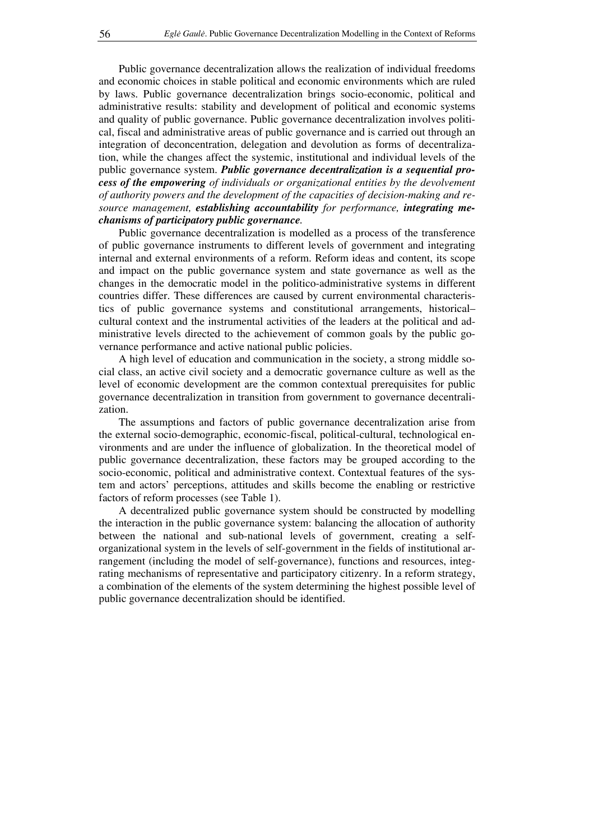Public governance decentralization allows the realization of individual freedoms and economic choices in stable political and economic environments which are ruled by laws. Public governance decentralization brings socio-economic, political and administrative results: stability and development of political and economic systems and quality of public governance. Public governance decentralization involves political, fiscal and administrative areas of public governance and is carried out through an integration of deconcentration, delegation and devolution as forms of decentralization, while the changes affect the systemic, institutional and individual levels of the public governance system. *Public governance decentralization is a sequential process of the empowering of individuals or organizational entities by the devolvement of authority powers and the development of the capacities of decision-making and resource management, establishing accountability for performance, integrating mechanisms of participatory public governance.* 

Public governance decentralization is modelled as a process of the transference of public governance instruments to different levels of government and integrating internal and external environments of a reform. Reform ideas and content, its scope and impact on the public governance system and state governance as well as the changes in the democratic model in the politico-administrative systems in different countries differ. These differences are caused by current environmental characteristics of public governance systems and constitutional arrangements, historical– cultural context and the instrumental activities of the leaders at the political and administrative levels directed to the achievement of common goals by the public governance performance and active national public policies.

A high level of education and communication in the society, a strong middle social class, an active civil society and a democratic governance culture as well as the level of economic development are the common contextual prerequisites for public governance decentralization in transition from government to governance decentralization.

The assumptions and factors of public governance decentralization arise from the external socio-demographic, economic-fiscal, political-cultural, technological environments and are under the influence of globalization. In the theoretical model of public governance decentralization, these factors may be grouped according to the socio-economic, political and administrative context. Contextual features of the system and actors' perceptions, attitudes and skills become the enabling or restrictive factors of reform processes (see Table 1).

A decentralized public governance system should be constructed by modelling the interaction in the public governance system: balancing the allocation of authority between the national and sub-national levels of government, creating a selforganizational system in the levels of self-government in the fields of institutional arrangement (including the model of self-governance), functions and resources, integrating mechanisms of representative and participatory citizenry. In a reform strategy, a combination of the elements of the system determining the highest possible level of public governance decentralization should be identified.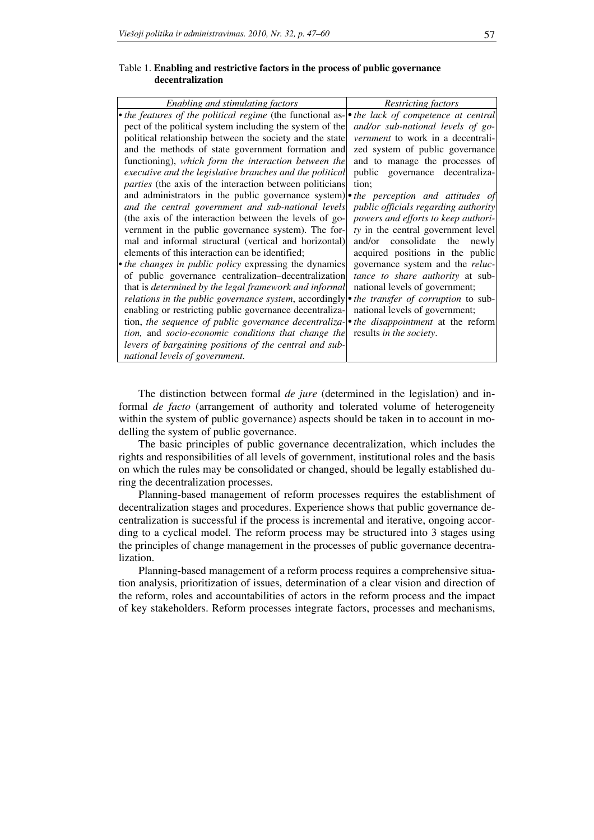#### Table 1. **Enabling and restrictive factors in the process of public governance decentralization**

| Enabling and stimulating factors                                                                    | Restricting factors                  |
|-----------------------------------------------------------------------------------------------------|--------------------------------------|
| • the features of the political regime (the functional as- • the lack of competence at central      |                                      |
| pect of the political system including the system of the <i>and/or sub-national levels of go-</i>   |                                      |
| political relationship between the society and the state vernment to work in a decentrali-          |                                      |
| and the methods of state government formation and zed system of public governance                   |                                      |
| functioning), which form the interaction between the and to manage the processes of                 |                                      |
| executive and the legislative branches and the political                                            | public governance decentraliza-      |
| <i>parties</i> (the axis of the interaction between politicians)                                    | tion;                                |
| and administrators in the public governance system) • the perception and attitudes of               |                                      |
| and the central government and sub-national levels                                                  | public officials regarding authority |
| (the axis of the interaction between the levels of go-                                              | powers and efforts to keep authori-  |
| vernment in the public governance system). The for-                                                 | ty in the central government level   |
| mal and informal structural (vertical and horizontal)                                               | and/or consolidate the<br>newly      |
| elements of this interaction can be identified;                                                     | acquired positions in the public     |
| • the changes in public policy expressing the dynamics governance system and the reluc-             |                                      |
| of public governance centralization-decentralization <i>tance to share authority</i> at sub-        |                                      |
| that is <i>determined by the legal framework and informal</i>   national levels of government;      |                                      |
| relations in the public governance system, accordingly $\bullet$ the transfer of corruption to sub- |                                      |
| enabling or restricting public governance decentraliza- national levels of government;              |                                      |
| tion, the sequence of public governance decentraliza-oile disappointment at the reform              |                                      |
| tion, and socio-economic conditions that change the results in the society.                         |                                      |
| levers of bargaining positions of the central and sub-                                              |                                      |
|                                                                                                     |                                      |
| national levels of government.                                                                      |                                      |

The distinction between formal *de jure* (determined in the legislation) and informal *de facto* (arrangement of authority and tolerated volume of heterogeneity within the system of public governance) aspects should be taken in to account in modelling the system of public governance.

The basic principles of public governance decentralization, which includes the rights and responsibilities of all levels of government, institutional roles and the basis on which the rules may be consolidated or changed, should be legally established during the decentralization processes.

Planning-based management of reform processes requires the establishment of decentralization stages and procedures. Experience shows that public governance decentralization is successful if the process is incremental and iterative, ongoing according to a cyclical model. The reform process may be structured into 3 stages using the principles of change management in the processes of public governance decentralization.

Planning-based management of a reform process requires a comprehensive situation analysis, prioritization of issues, determination of a clear vision and direction of the reform, roles and accountabilities of actors in the reform process and the impact of key stakeholders. Reform processes integrate factors, processes and mechanisms,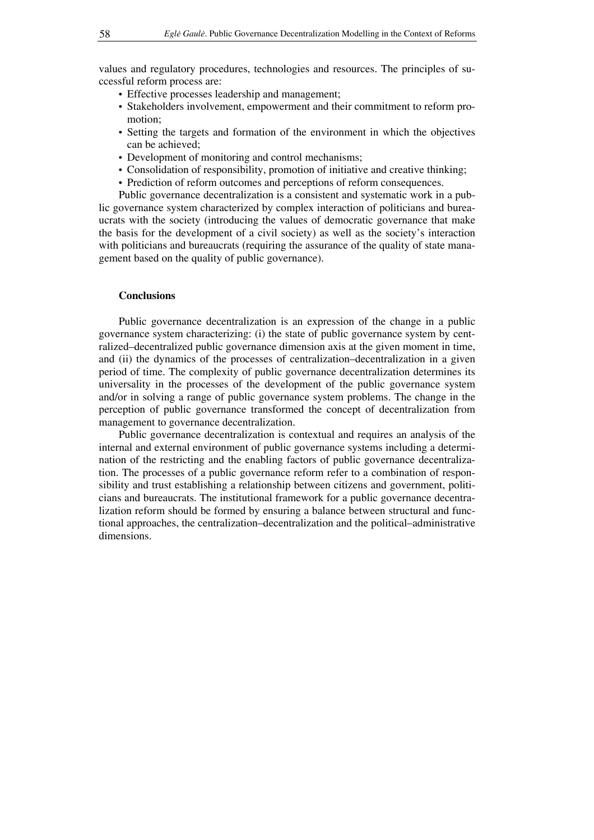values and regulatory procedures, technologies and resources. The principles of successful reform process are:

- Effective processes leadership and management;
- Stakeholders involvement, empowerment and their commitment to reform promotion;
- Setting the targets and formation of the environment in which the objectives can be achieved;
- Development of monitoring and control mechanisms;
- Consolidation of responsibility, promotion of initiative and creative thinking;
- Prediction of reform outcomes and perceptions of reform consequences.

Public governance decentralization is a consistent and systematic work in a public governance system characterized by complex interaction of politicians and bureaucrats with the society (introducing the values of democratic governance that make the basis for the development of a civil society) as well as the society's interaction with politicians and bureaucrats (requiring the assurance of the quality of state management based on the quality of public governance).

#### **Conclusions**

Public governance decentralization is an expression of the change in a public governance system characterizing: (i) the state of public governance system by centralized–decentralized public governance dimension axis at the given moment in time, and (ii) the dynamics of the processes of centralization–decentralization in a given period of time. The complexity of public governance decentralization determines its universality in the processes of the development of the public governance system and/or in solving a range of public governance system problems. The change in the perception of public governance transformed the concept of decentralization from management to governance decentralization.

Public governance decentralization is contextual and requires an analysis of the internal and external environment of public governance systems including a determination of the restricting and the enabling factors of public governance decentralization. The processes of a public governance reform refer to a combination of responsibility and trust establishing a relationship between citizens and government, politicians and bureaucrats. The institutional framework for a public governance decentralization reform should be formed by ensuring a balance between structural and functional approaches, the centralization–decentralization and the political–administrative dimensions.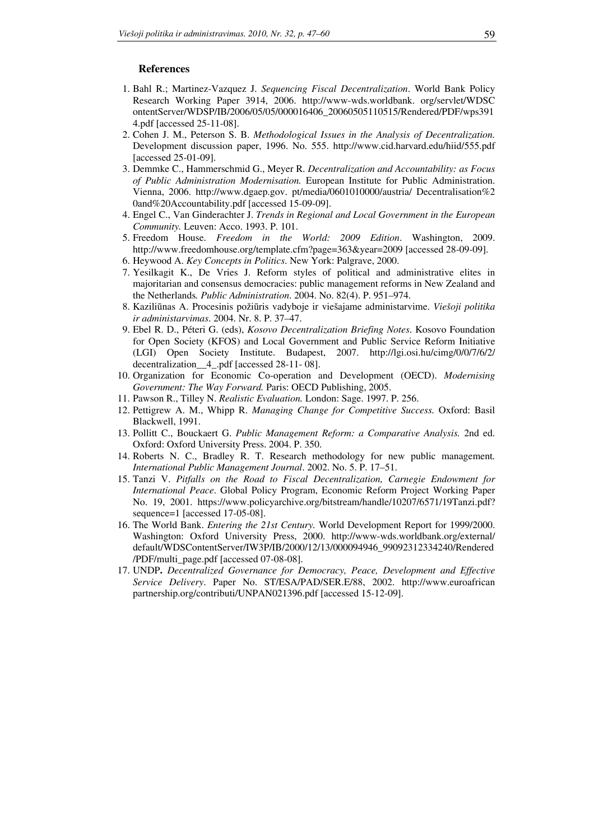## **References**

- 1. Bahl R.; Martinez-Vazquez J. *Sequencing Fiscal Decentralization*. World Bank Policy Research Working Paper 3914, 2006. http://www-wds.worldbank. org/servlet/WDSC ontentServer/WDSP/IB/2006/05/05/000016406\_20060505110515/Rendered/PDF/wps391 4.pdf [accessed 25-11-08].
- 2. Cohen J. M., Peterson S. B. *Methodological Issues in the Analysis of Decentralization.*  Development discussion paper, 1996. No. 555. http://www.cid.harvard.edu/hiid/555.pdf [accessed 25-01-09].
- 3. Demmke C., Hammerschmid G., Meyer R. *Decentralization and Accountability: as Focus of Public Administration Modernisation.* European Institute for Public Administration. Vienna, 2006. http://www.dgaep.gov. pt/media/0601010000/austria/ Decentralisation%2 0and%20Accountability.pdf [accessed 15-09-09].
- 4. Engel C., Van Ginderachter J. *Trends in Regional and Local Government in the European Community.* Leuven: Acco. 1993. P. 101.
- 5. Freedom House. *Freedom in the World: 2009 Edition*. Washington, 2009. http://www.freedomhouse.org/template.cfm?page=363&year=2009 [accessed 28-09-09].
- 6. Heywood A. *Key Concepts in Politics*. New York: Palgrave, 2000.
- 7. Yesilkagit K., De Vries J. Reform styles of political and administrative elites in majoritarian and consensus democracies: public management reforms in New Zealand and the Netherlands*. Public Administration*. 2004. No. 82(4). P. 951–974.
- 8. Kaziliūnas A. Procesinis požiūris vadyboje ir viešajame administarvime. *Viešoji politika ir administarvimas*. 2004. Nr. 8. P. 37–47.
- 9. Ebel R. D., Péteri G. (eds), *Kosovo Decentralization Briefing Notes*. Kosovo Foundation for Open Society (KFOS) and Local Government and Public Service Reform Initiative (LGI) Open Society Institute. Budapest, 2007. http://lgi.osi.hu/cimg/0/0/7/6/2/ decentralization\_\_4\_.pdf [accessed 28-11- 08].
- 10. Organization for Economic Co-operation and Development (OECD). *Modernising Government: The Way Forward.* Paris: OECD Publishing, 2005.
- 11. Pawson R., Tilley N. *Realistic Evaluation.* London: Sage. 1997. P. 256.
- 12. Pettigrew A. M., Whipp R. *Managing Change for Competitive Success.* Oxford: Basil Blackwell, 1991.
- 13. Pollitt C., Bouckaert G. *Public Management Reform: a Comparative Analysis.* 2nd ed. Oxford: Oxford University Press. 2004. P. 350.
- 14. Roberts N. C., Bradley R. T. Research methodology for new public management*. International Public Management Journal*. 2002. No. 5. P. 17–51.
- 15. Tanzi V. *Pitfalls on the Road to Fiscal Decentralization, Carnegie Endowment for International Peace*. Global Policy Program, Economic Reform Project Working Paper No. 19, 2001. https://www.policyarchive.org/bitstream/handle/10207/6571/19Tanzi.pdf? sequence=1 [accessed 17-05-08].
- 16. The World Bank. *Entering the 21st Century.* World Development Report for 1999/2000. Washington: Oxford University Press, 2000. http://www-wds.worldbank.org/external/ default/WDSContentServer/IW3P/IB/2000/12/13/000094946\_99092312334240/Rendered /PDF/multi\_page.pdf [accessed 07-08-08].
- 17. UNDP**.** *Decentralized Governance for Democracy, Peace, Development and Effective Service Delivery*. Paper No. ST/ESA/PAD/SER.E/88, 2002. http://www.euroafrican partnership.org/contributi/UNPAN021396.pdf [accessed 15-12-09].